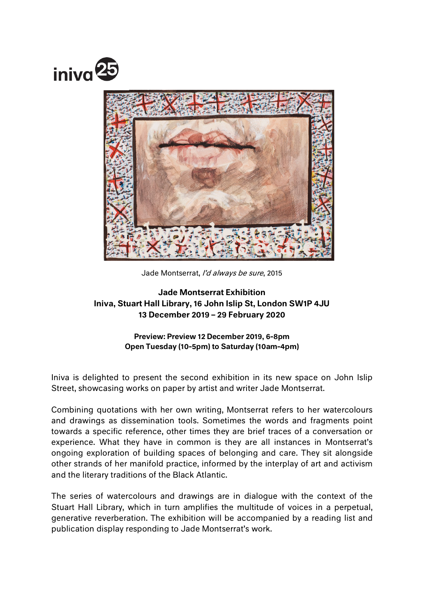



Jade Montserrat, I'd always be sure, 2015

# Jade Montserrat Exhibition Iniva, Stuart Hall Library, 16 John Islip St, London SW1P 4JU 13 December 2019 – 29 February 2020

## Preview: Preview 12 December 2019, 6-8pm Open Tuesday (10-5pm) to Saturday (10am-4pm)

Iniva is delighted to present the second exhibition in its new space on John Islip Street, showcasing works on paper by artist and writer Jade Montserrat.

Combining quotations with her own writing, Montserrat refers to her watercolours and drawings as dissemination tools. Sometimes the words and fragments point towards a specific reference, other times they are brief traces of a conversation or experience. What they have in common is they are all instances in Montserrat's ongoing exploration of building spaces of belonging and care. They sit alongside other strands of her manifold practice, informed by the interplay of art and activism and the literary traditions of the Black Atlantic.

The series of watercolours and drawings are in dialogue with the context of the Stuart Hall Library, which in turn amplifies the multitude of voices in a perpetual, generative reverberation. The exhibition will be accompanied by a reading list and publication display responding to Jade Montserrat's work.